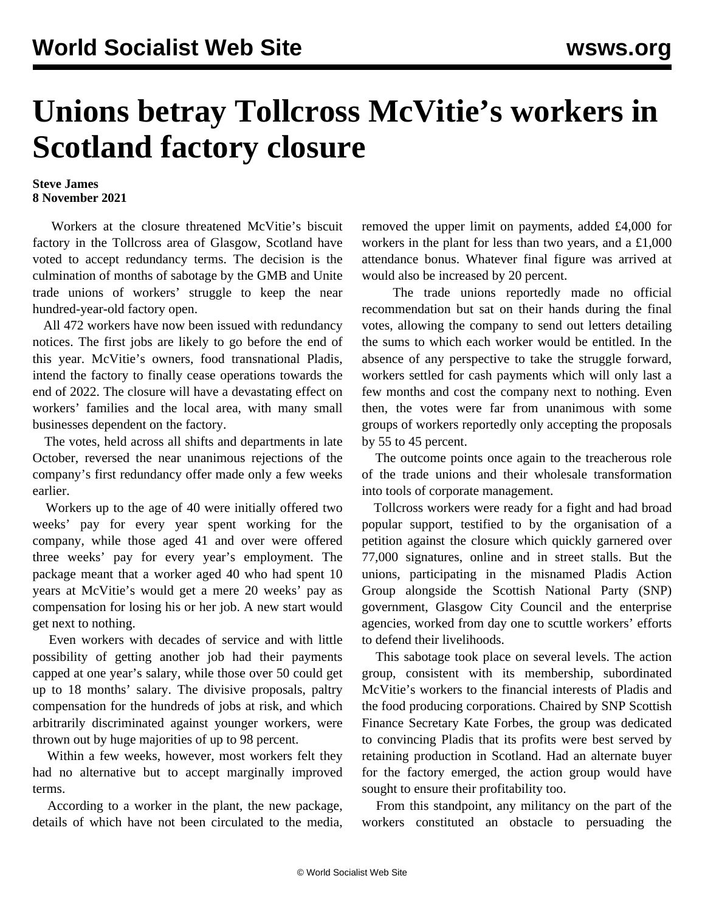## **Unions betray Tollcross McVitie's workers in Scotland factory closure**

## **Steve James 8 November 2021**

 Workers at the closure threatened McVitie's biscuit factory in the Tollcross area of Glasgow, Scotland have voted to accept redundancy terms. The decision is the culmination of months of sabotage by the GMB and Unite trade unions of workers' struggle to keep the near hundred-year-old factory open.

 All 472 workers have now been issued with redundancy notices. The first jobs are likely to go before the end of this year. McVitie's owners, food transnational Pladis, intend the factory to finally cease operations towards the end of 2022. The closure will have a devastating effect on workers' families and the local area, with many small businesses dependent on the factory.

 The votes, held across all shifts and departments in late October, reversed the near unanimous rejections of the company's first redundancy offer made only a few weeks earlier.

 Workers up to the age of 40 were initially offered two weeks' pay for every year spent working for the company, while those aged 41 and over were offered three weeks' pay for every year's employment. The package meant that a worker aged 40 who had spent 10 years at McVitie's would get a mere 20 weeks' pay as compensation for losing his or her job. A new start would get next to nothing.

 Even workers with decades of service and with little possibility of getting another job had their payments capped at one year's salary, while those over 50 could get up to 18 months' salary. The divisive proposals, paltry compensation for the hundreds of jobs at risk, and which arbitrarily discriminated against younger workers, were thrown out by huge majorities of up to 98 percent.

 Within a few weeks, however, most workers felt they had no alternative but to accept marginally improved terms.

 According to a worker in the plant, the new package, details of which have not been circulated to the media, removed the upper limit on payments, added £4,000 for workers in the plant for less than two years, and a £1,000 attendance bonus. Whatever final figure was arrived at would also be increased by 20 percent.

 The trade unions reportedly made no official recommendation but sat on their hands during the final votes, allowing the company to send out letters detailing the sums to which each worker would be entitled. In the absence of any perspective to take the struggle forward, workers settled for cash payments which will only last a few months and cost the company next to nothing. Even then, the votes were far from unanimous with some groups of workers reportedly only accepting the proposals by 55 to 45 percent.

 The outcome points once again to the treacherous role of the trade unions and their wholesale transformation into tools of corporate management.

 Tollcross workers were ready for a fight and had broad popular support, testified to by the organisation of a petition against the closure which quickly garnered over 77,000 signatures, online and in street stalls. But the unions, participating in the misnamed Pladis Action Group alongside the Scottish National Party (SNP) government, Glasgow City Council and the enterprise agencies, worked from day one to scuttle workers' efforts to defend their livelihoods.

 This sabotage took place on several levels. The action group, consistent with its membership, subordinated McVitie's workers to the financial interests of Pladis and the food producing corporations. Chaired by SNP Scottish Finance Secretary Kate Forbes, the group was dedicated to convincing Pladis that its profits were best served by retaining production in Scotland. Had an alternate buyer for the factory emerged, the action group would have sought to ensure their profitability too.

 From this standpoint, any militancy on the part of the workers constituted an obstacle to persuading the